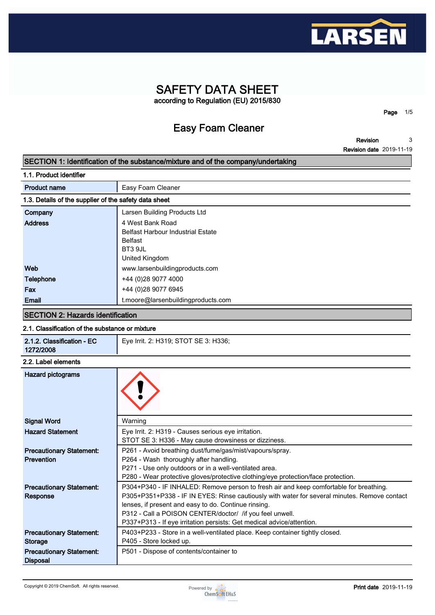

## **SAFETY DATA SHEET according to Regulation (EU) 2015/830**

**Easy Foam Cleaner**

**Page 1/5**

**Revision Revision date 2019-11-19 3**

## **SECTION 1: Identification of the substance/mixture and of the company/undertaking**

| 1.1. Product identifier                               |                                          |  |  |
|-------------------------------------------------------|------------------------------------------|--|--|
| <b>Product name</b>                                   | Easy Foam Cleaner                        |  |  |
| 1.3. Details of the supplier of the safety data sheet |                                          |  |  |
| Company                                               | Larsen Building Products Ltd             |  |  |
| <b>Address</b>                                        | 4 West Bank Road                         |  |  |
|                                                       | <b>Belfast Harbour Industrial Estate</b> |  |  |
|                                                       | <b>Belfast</b>                           |  |  |
|                                                       | BT3 9JL                                  |  |  |
|                                                       | United Kingdom                           |  |  |
| Web                                                   | www.larsenbuildingproducts.com           |  |  |
| <b>Telephone</b>                                      | +44 (0)28 9077 4000                      |  |  |
| Fax                                                   | +44 (0)28 9077 6945                      |  |  |
| Email                                                 | t.moore@larsenbuildingproducts.com       |  |  |

### **SECTION 2: Hazards identification**

### **2.1. Classification of the substance or mixture**

| 2.1.2. Classification - EC<br>1272/2008            | Eye Irrit. 2: H319; STOT SE 3: H336;                                                         |
|----------------------------------------------------|----------------------------------------------------------------------------------------------|
| 2.2. Label elements                                |                                                                                              |
| <b>Hazard pictograms</b>                           |                                                                                              |
| <b>Signal Word</b>                                 | Warning                                                                                      |
| <b>Hazard Statement</b>                            | Eye Irrit. 2: H319 - Causes serious eye irritation.                                          |
|                                                    | STOT SE 3: H336 - May cause drowsiness or dizziness.                                         |
| <b>Precautionary Statement:</b>                    | P261 - Avoid breathing dust/fume/gas/mist/vapours/spray.                                     |
| <b>Prevention</b>                                  | P264 - Wash thoroughly after handling.                                                       |
|                                                    | P271 - Use only outdoors or in a well-ventilated area.                                       |
|                                                    | P280 - Wear protective gloves/protective clothing/eye protection/face protection.            |
| <b>Precautionary Statement:</b>                    | P304+P340 - IF INHALED: Remove person to fresh air and keep comfortable for breathing.       |
| <b>Response</b>                                    | P305+P351+P338 - IF IN EYES: Rinse cautiously with water for several minutes. Remove contact |
|                                                    | lenses, if present and easy to do. Continue rinsing.                                         |
|                                                    | P312 - Call a POISON CENTER/doctor/ /if you feel unwell.                                     |
|                                                    | P337+P313 - If eye irritation persists: Get medical advice/attention.                        |
| <b>Precautionary Statement:</b>                    | P403+P233 - Store in a well-ventilated place. Keep container tightly closed.                 |
| Storage                                            | P405 - Store locked up.                                                                      |
| <b>Precautionary Statement:</b><br><b>Disposal</b> | P501 - Dispose of contents/container to                                                      |

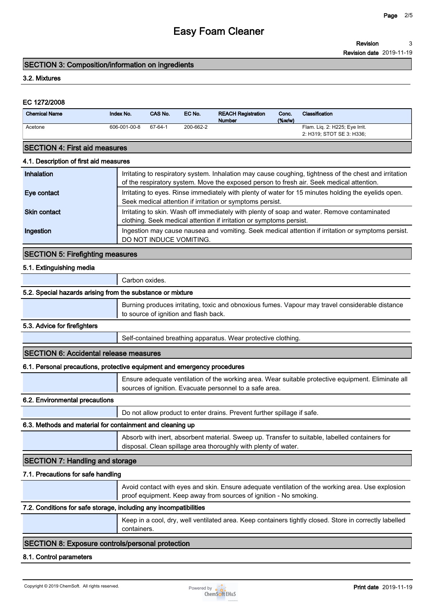**Revision 3**

**Revision date 2019-11-19**

### **SECTION 3: Composition/information on ingredients**

### **3.2. Mixtures**

### **EC 1272/2008**

| <b>Chemical Name</b> | Index No.    | CAS No. | EC No.    | <b>REACH Registration</b><br><b>Number</b> | Conc.<br>$(\%w/w)$ | <b>Classification</b>                                       |
|----------------------|--------------|---------|-----------|--------------------------------------------|--------------------|-------------------------------------------------------------|
| Acetone              | 606-001-00-8 | 67-64-1 | 200-662-2 |                                            |                    | Flam. Lig. 2: H225; Eye Irrit.<br>2: H319; STOT SE 3: H336; |

### **SECTION 4: First aid measures**

### **4.1. Description of first aid measures**

| Inhalation          | Irritating to respiratory system. Inhalation may cause coughing, tightness of the chest and irritation<br>of the respiratory system. Move the exposed person to fresh air. Seek medical attention. |
|---------------------|----------------------------------------------------------------------------------------------------------------------------------------------------------------------------------------------------|
| Eye contact         | Irritating to eyes. Rinse immediately with plenty of water for 15 minutes holding the eyelids open.<br>Seek medical attention if irritation or symptoms persist.                                   |
| <b>Skin contact</b> | Irritating to skin. Wash off immediately with plenty of soap and water. Remove contaminated<br>clothing. Seek medical attention if irritation or symptoms persist.                                 |
| Ingestion           | Ingestion may cause nausea and vomiting. Seek medical attention if irritation or symptoms persist.<br>DO NOT INDUCE VOMITING.                                                                      |

### **SECTION 5: Firefighting measures**

### **5.1. Extinguishing media**

| Carbon oxides. |  |
|----------------|--|
|----------------|--|

### **5.2. Special hazards arising from the substance or mixture**

**Burning produces irritating, toxic and obnoxious fumes. Vapour may travel considerable distance to source of ignition and flash back.**

### **5.3. Advice for firefighters**

**Self-contained breathing apparatus. Wear protective clothing.**

### **SECTION 6: Accidental release measures**

### **6.1. Personal precautions, protective equipment and emergency procedures**

|                                | Ensure adequate ventilation of the working area. Wear suitable protective equipment. Eliminate all<br>sources of ignition. Evacuate personnel to a safe area. |  |  |  |
|--------------------------------|---------------------------------------------------------------------------------------------------------------------------------------------------------------|--|--|--|
| 6.2. Environmental precautions |                                                                                                                                                               |  |  |  |
|                                | Do not allow product to enter drains. Prevent further spillage if safe.                                                                                       |  |  |  |

### **6.3. Methods and material for containment and cleaning up**

**Absorb with inert, absorbent material. Sweep up. Transfer to suitable, labelled containers for disposal. Clean spillage area thoroughly with plenty of water.**

## **SECTION 7: Handling and storage**

### **7.1. Precautions for safe handling**

**Avoid contact with eyes and skin. Ensure adequate ventilation of the working area. Use explosion proof equipment. Keep away from sources of ignition - No smoking.**

### **7.2. Conditions for safe storage, including any incompatibilities**

**Keep in a cool, dry, well ventilated area. Keep containers tightly closed. Store in correctly labelled containers.**

## **SECTION 8: Exposure controls/personal protection**

#### **8.1. Control parameters**

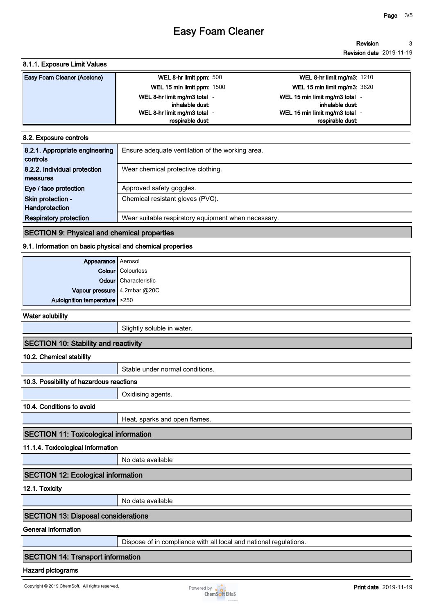#### **Revision Revision date 2019-11-19 3**

### **8.1.1. Exposure Limit Values**

| <b>Easy Foam Cleaner (Acetone)</b> | WEL 8-hr limit ppm: 500      | <b>WEL 8-hr limit mg/m3: 1210</b> |
|------------------------------------|------------------------------|-----------------------------------|
|                                    | WEL 15 min limit ppm: 1500   | WEL 15 min limit mg/m3: 3620      |
|                                    | WEL 8-hr limit mg/m3 total - | WEL 15 min limit mg/m3 total -    |
|                                    | inhalable dust:              | inhalable dust:                   |
|                                    | WEL 8-hr limit mg/m3 total - | WEL 15 min limit mg/m3 total -    |
|                                    | respirable dust:             | respirable dust.                  |

### **8.2. Exposure controls**

### **SECTION 9: Physical and chemical properties**

### **9.1. Information on basic physical and chemical properties**

| Appearance Aerosol<br>Colour Colourless                       |                      |
|---------------------------------------------------------------|----------------------|
|                                                               |                      |
|                                                               | Odour Characteristic |
|                                                               |                      |
| Vapour pressure 4.2mbar @20C<br>Autoignition temperature >250 |                      |

**Water solubility**

**Slightly soluble in water.**

### **SECTION 10: Stability and reactivity**

**10.2. Chemical stability**

**Stable under normal conditions.**

## **10.3. Possibility of hazardous reactions**

**10.4. Conditions to avoid**

**Heat, sparks and open flames.**

## **SECTION 11: Toxicological information**

**11.1.4. Toxicological Information**

**No data available**

**Oxidising agents.**

## **SECTION 12: Ecological information**

**12.1. Toxicity**

**No data available**

### **SECTION 13: Disposal considerations**

## **General information**

**Dispose of in compliance with all local and national regulations.**

## **SECTION 14: Transport information**

### **Hazard pictograms**

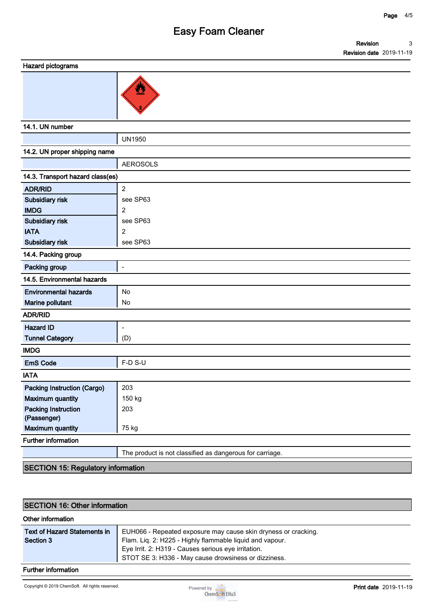| Hazard pictograms |  |
|-------------------|--|
|-------------------|--|

**14.1. UN number**

| ו <del>ש</del> . ו. טוי וועוווע <del>ט</del> ו |                                                          |  |  |  |
|------------------------------------------------|----------------------------------------------------------|--|--|--|
|                                                | <b>UN1950</b>                                            |  |  |  |
| 14.2. UN proper shipping name                  |                                                          |  |  |  |
|                                                | <b>AEROSOLS</b>                                          |  |  |  |
| 14.3. Transport hazard class(es)               |                                                          |  |  |  |
| <b>ADR/RID</b>                                 | $\overline{2}$                                           |  |  |  |
| Subsidiary risk                                | see SP63                                                 |  |  |  |
| <b>IMDG</b>                                    | $\overline{2}$                                           |  |  |  |
| Subsidiary risk                                | see SP63                                                 |  |  |  |
| <b>IATA</b>                                    | $\overline{2}$                                           |  |  |  |
| Subsidiary risk                                | see SP63                                                 |  |  |  |
| 14.4. Packing group                            |                                                          |  |  |  |
| Packing group                                  | $\overline{\phantom{a}}$                                 |  |  |  |
| 14.5. Environmental hazards                    |                                                          |  |  |  |
| <b>Environmental hazards</b>                   | No                                                       |  |  |  |
| Marine pollutant                               | No                                                       |  |  |  |
| <b>ADR/RID</b>                                 |                                                          |  |  |  |
| <b>Hazard ID</b>                               | $\overline{\phantom{a}}$                                 |  |  |  |
| <b>Tunnel Category</b>                         | (D)                                                      |  |  |  |
| <b>IMDG</b>                                    |                                                          |  |  |  |
| <b>EmS Code</b>                                | F-D S-U                                                  |  |  |  |
| <b>IATA</b>                                    |                                                          |  |  |  |
| <b>Packing Instruction (Cargo)</b>             | 203                                                      |  |  |  |
| <b>Maximum quantity</b>                        | 150 kg                                                   |  |  |  |
| <b>Packing Instruction</b>                     | 203                                                      |  |  |  |
| (Passenger)                                    |                                                          |  |  |  |
| <b>Maximum quantity</b>                        | 75 kg                                                    |  |  |  |
| <b>Further information</b>                     |                                                          |  |  |  |
|                                                | The product is not classified as dangerous for carriage. |  |  |  |
|                                                |                                                          |  |  |  |

**SECTION 15: Regulatory information**

## **SECTION 16: Other information**

### **Other information**

| <b>Text of Hazard Statements in</b> | EUH066 - Repeated exposure may cause skin dryness or cracking. |
|-------------------------------------|----------------------------------------------------------------|
| Section 3                           | Flam. Liq. 2: H225 - Highly flammable liquid and vapour.       |
|                                     | Eye Irrit. 2: H319 - Causes serious eye irritation.            |
|                                     | STOT SE 3: H336 - May cause drowsiness or dizziness.           |

## **Further information**